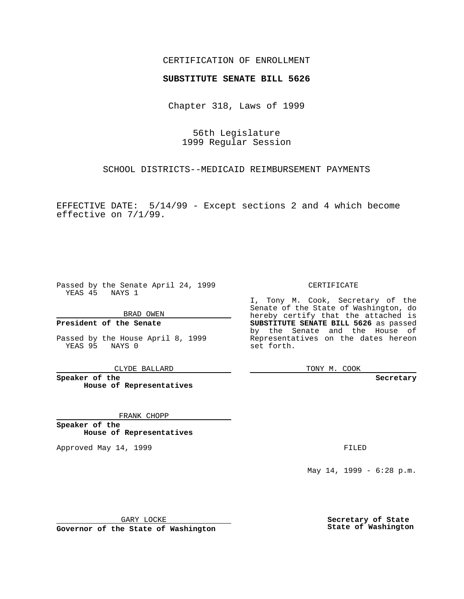### CERTIFICATION OF ENROLLMENT

# **SUBSTITUTE SENATE BILL 5626**

Chapter 318, Laws of 1999

56th Legislature 1999 Regular Session

SCHOOL DISTRICTS--MEDICAID REIMBURSEMENT PAYMENTS

EFFECTIVE DATE: 5/14/99 - Except sections 2 and 4 which become effective on 7/1/99.

Passed by the Senate April 24, 1999 YEAS 45 NAYS 1

BRAD OWEN

**President of the Senate**

Passed by the House April 8, 1999 YEAS 95 NAYS 0

CLYDE BALLARD

**Speaker of the House of Representatives**

FRANK CHOPP

**Speaker of the House of Representatives**

Approved May 14, 1999 **FILED** 

CERTIFICATE

I, Tony M. Cook, Secretary of the Senate of the State of Washington, do hereby certify that the attached is **SUBSTITUTE SENATE BILL 5626** as passed by the Senate and the House of Representatives on the dates hereon set forth.

TONY M. COOK

**Secretary**

May 14, 1999 - 6:28 p.m.

GARY LOCKE

**Governor of the State of Washington**

**Secretary of State State of Washington**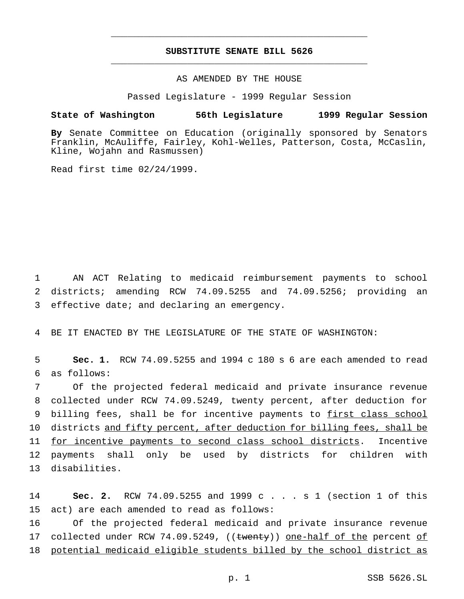## **SUBSTITUTE SENATE BILL 5626** \_\_\_\_\_\_\_\_\_\_\_\_\_\_\_\_\_\_\_\_\_\_\_\_\_\_\_\_\_\_\_\_\_\_\_\_\_\_\_\_\_\_\_\_\_\_\_

\_\_\_\_\_\_\_\_\_\_\_\_\_\_\_\_\_\_\_\_\_\_\_\_\_\_\_\_\_\_\_\_\_\_\_\_\_\_\_\_\_\_\_\_\_\_\_

#### AS AMENDED BY THE HOUSE

Passed Legislature - 1999 Regular Session

#### **State of Washington 56th Legislature 1999 Regular Session**

**By** Senate Committee on Education (originally sponsored by Senators Franklin, McAuliffe, Fairley, Kohl-Welles, Patterson, Costa, McCaslin, Kline, Wojahn and Rasmussen)

Read first time 02/24/1999.

1 AN ACT Relating to medicaid reimbursement payments to school 2 districts; amending RCW 74.09.5255 and 74.09.5256; providing an 3 effective date; and declaring an emergency.

4 BE IT ENACTED BY THE LEGISLATURE OF THE STATE OF WASHINGTON:

5 **Sec. 1.** RCW 74.09.5255 and 1994 c 180 s 6 are each amended to read 6 as follows:

7 Of the projected federal medicaid and private insurance revenue 8 collected under RCW 74.09.5249, twenty percent, after deduction for 9 billing fees, shall be for incentive payments to first class school 10 districts and fifty percent, after deduction for billing fees, shall be 11 for incentive payments to second class school districts. Incentive 12 payments shall only be used by districts for children with 13 disabilities.

14 **Sec. 2.** RCW 74.09.5255 and 1999 c . . . s 1 (section 1 of this 15 act) are each amended to read as follows:

16 Of the projected federal medicaid and private insurance revenue 17 collected under RCW 74.09.5249, ((twenty)) one-half of the percent of 18 potential medicaid eligible students billed by the school district as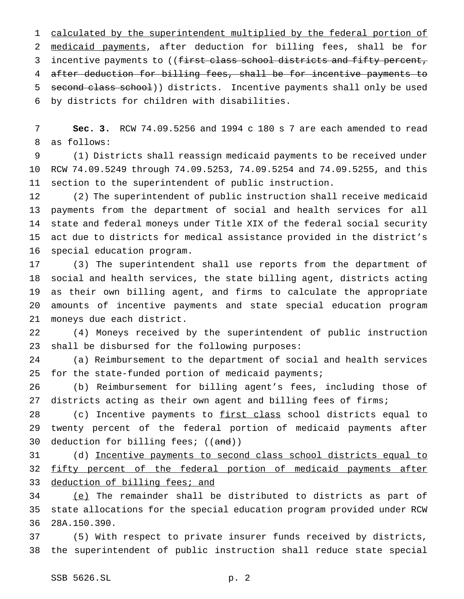1 calculated by the superintendent multiplied by the federal portion of medicaid payments, after deduction for billing fees, shall be for 3 incentive payments to ((first class school districts and fifty percent, after deduction for billing fees, shall be for incentive payments to 5 second class school)) districts. Incentive payments shall only be used by districts for children with disabilities.

 **Sec. 3.** RCW 74.09.5256 and 1994 c 180 s 7 are each amended to read as follows:

 (1) Districts shall reassign medicaid payments to be received under RCW 74.09.5249 through 74.09.5253, 74.09.5254 and 74.09.5255, and this section to the superintendent of public instruction.

 (2) The superintendent of public instruction shall receive medicaid payments from the department of social and health services for all state and federal moneys under Title XIX of the federal social security act due to districts for medical assistance provided in the district's special education program.

 (3) The superintendent shall use reports from the department of social and health services, the state billing agent, districts acting as their own billing agent, and firms to calculate the appropriate amounts of incentive payments and state special education program moneys due each district.

 (4) Moneys received by the superintendent of public instruction shall be disbursed for the following purposes:

 (a) Reimbursement to the department of social and health services for the state-funded portion of medicaid payments;

 (b) Reimbursement for billing agent's fees, including those of districts acting as their own agent and billing fees of firms;

28 (c) Incentive payments to first class school districts equal to twenty percent of the federal portion of medicaid payments after 30 deduction for billing fees; ((and))

 (d) Incentive payments to second class school districts equal to 32 fifty percent of the federal portion of medicaid payments after 33 deduction of billing fees; and

 (e) The remainder shall be distributed to districts as part of state allocations for the special education program provided under RCW 28A.150.390.

 (5) With respect to private insurer funds received by districts, the superintendent of public instruction shall reduce state special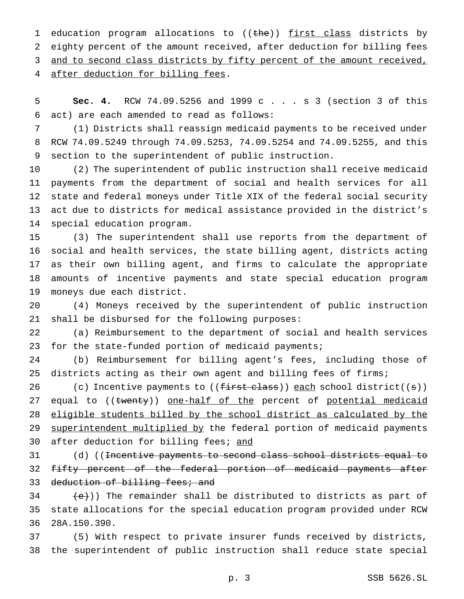1 education program allocations to ((the)) first class districts by eighty percent of the amount received, after deduction for billing fees 3 and to second class districts by fifty percent of the amount received, 4 after deduction for billing fees.

 **Sec. 4.** RCW 74.09.5256 and 1999 c . . . s 3 (section 3 of this act) are each amended to read as follows:

 (1) Districts shall reassign medicaid payments to be received under RCW 74.09.5249 through 74.09.5253, 74.09.5254 and 74.09.5255, and this section to the superintendent of public instruction.

 (2) The superintendent of public instruction shall receive medicaid payments from the department of social and health services for all state and federal moneys under Title XIX of the federal social security act due to districts for medical assistance provided in the district's special education program.

 (3) The superintendent shall use reports from the department of social and health services, the state billing agent, districts acting as their own billing agent, and firms to calculate the appropriate amounts of incentive payments and state special education program moneys due each district.

 (4) Moneys received by the superintendent of public instruction shall be disbursed for the following purposes:

 (a) Reimbursement to the department of social and health services for the state-funded portion of medicaid payments;

 (b) Reimbursement for billing agent's fees, including those of 25 districts acting as their own agent and billing fees of firms;

26 (c) Incentive payments to ((first class)) each school district((s)) 27 equal to ((twenty)) one-half of the percent of potential medicaid eligible students billed by the school district as calculated by the 29 superintendent multiplied by the federal portion of medicaid payments 30 after deduction for billing fees; and

31 (d) ((<del>Incentive payments to second class school districts equal to</del> fifty percent of the federal portion of medicaid payments after 33 deduction of billing fees; and

 $(234 \text{ (e)}$ )) The remainder shall be distributed to districts as part of state allocations for the special education program provided under RCW 28A.150.390.

 (5) With respect to private insurer funds received by districts, the superintendent of public instruction shall reduce state special